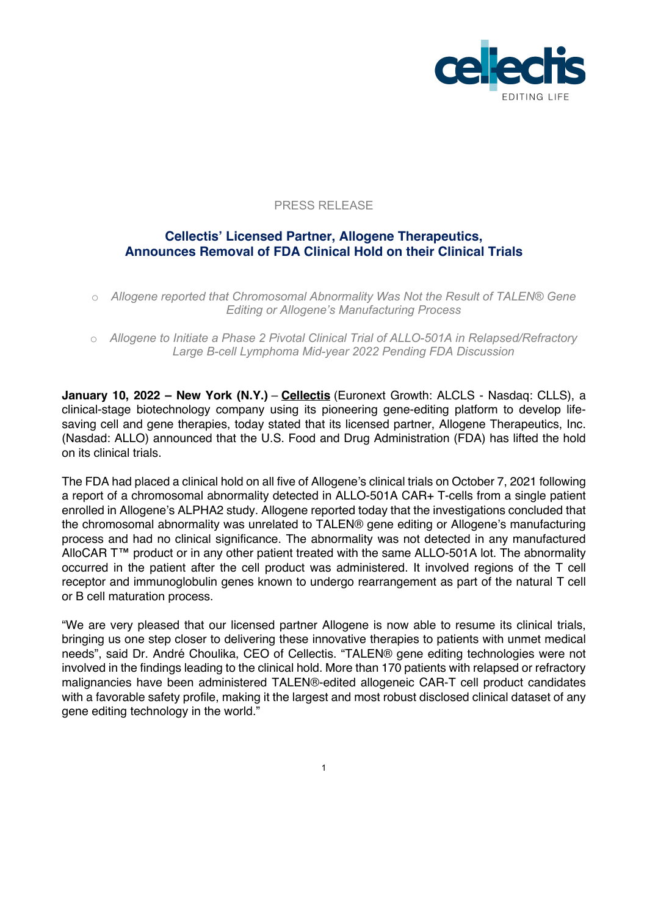

## PRESS RELEASE

# **Cellectis' Licensed Partner, Allogene Therapeutics, Announces Removal of FDA Clinical Hold on their Clinical Trials**

o *Allogene reported that Chromosomal Abnormality Was Not the Result of TALEN® Gene Editing or Allogene's Manufacturing Process*

o *Allogene to Initiate a Phase 2 Pivotal Clinical Trial of ALLO-501A in Relapsed/Refractory Large B-cell Lymphoma Mid-year 2022 Pending FDA Discussion*

**January 10, 2022 – New York (N.Y.)** – **Cellectis** (Euronext Growth: ALCLS - Nasdaq: CLLS), a clinical-stage biotechnology company using its pioneering gene-editing platform to develop lifesaving cell and gene therapies, today stated that its licensed partner, Allogene Therapeutics, Inc. (Nasdad: ALLO) announced that the U.S. Food and Drug Administration (FDA) has lifted the hold on its clinical trials.

The FDA had placed a clinical hold on all five of Allogene's clinical trials on October 7, 2021 following a report of a chromosomal abnormality detected in ALLO-501A CAR+ T-cells from a single patient enrolled in Allogene's ALPHA2 study. Allogene reported today that the investigations concluded that the chromosomal abnormality was unrelated to TALEN® gene editing or Allogene's manufacturing process and had no clinical significance. The abnormality was not detected in any manufactured AlloCAR T™ product or in any other patient treated with the same ALLO-501A lot. The abnormality occurred in the patient after the cell product was administered. It involved regions of the T cell receptor and immunoglobulin genes known to undergo rearrangement as part of the natural T cell or B cell maturation process.

"We are very pleased that our licensed partner Allogene is now able to resume its clinical trials, bringing us one step closer to delivering these innovative therapies to patients with unmet medical needs", said Dr. André Choulika, CEO of Cellectis. "TALEN® gene editing technologies were not involved in the findings leading to the clinical hold. More than 170 patients with relapsed or refractory malignancies have been administered TALEN®-edited allogeneic CAR-T cell product candidates with a favorable safety profile, making it the largest and most robust disclosed clinical dataset of any gene editing technology in the world."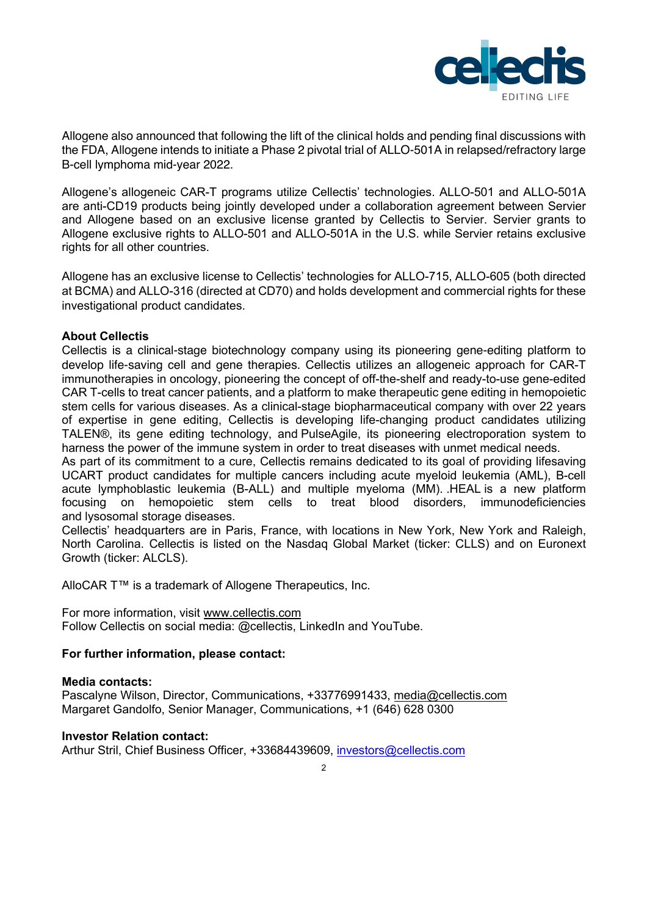

Allogene also announced that following the lift of the clinical holds and pending final discussions with the FDA, Allogene intends to initiate a Phase 2 pivotal trial of ALLO-501A in relapsed/refractory large B-cell lymphoma mid-year 2022.

Allogene's allogeneic CAR-T programs utilize Cellectis' technologies. ALLO-501 and ALLO-501A are anti-CD19 products being jointly developed under a collaboration agreement between Servier and Allogene based on an exclusive license granted by Cellectis to Servier. Servier grants to Allogene exclusive rights to ALLO-501 and ALLO-501A in the U.S. while Servier retains exclusive rights for all other countries.

Allogene has an exclusive license to Cellectis' technologies for ALLO-715, ALLO-605 (both directed at BCMA) and ALLO-316 (directed at CD70) and holds development and commercial rights for these investigational product candidates.

### **About Cellectis**

Cellectis is a clinical-stage biotechnology company using its pioneering gene-editing platform to develop life-saving cell and gene therapies. Cellectis utilizes an allogeneic approach for CAR-T immunotherapies in oncology, pioneering the concept of off-the-shelf and ready-to-use gene-edited CAR T-cells to treat cancer patients, and a platform to make therapeutic gene editing in hemopoietic stem cells for various diseases. As a clinical-stage biopharmaceutical company with over 22 years of expertise in gene editing, Cellectis is developing life-changing product candidates utilizing TALEN®, its gene editing technology, and PulseAgile, its pioneering electroporation system to harness the power of the immune system in order to treat diseases with unmet medical needs.

As part of its commitment to a cure, Cellectis remains dedicated to its goal of providing lifesaving UCART product candidates for multiple cancers including acute myeloid leukemia (AML), B-cell acute lymphoblastic leukemia (B-ALL) and multiple myeloma (MM). .HEAL is a new platform focusing on hemopoietic stem cells to treat blood disorders, immunodeficiencies and lysosomal storage diseases.

Cellectis' headquarters are in Paris, France, with locations in New York, New York and Raleigh, North Carolina. Cellectis is listed on the Nasdaq Global Market (ticker: CLLS) and on Euronext Growth (ticker: ALCLS).

AlloCAR T™ is a trademark of Allogene Therapeutics, Inc.

For more information, visit www.cellectis.com Follow Cellectis on social media: @cellectis, LinkedIn and YouTube.

## **For further information, please contact:**

### **Media contacts:**

Pascalyne Wilson, Director, Communications, +33776991433, media@cellectis.com Margaret Gandolfo, Senior Manager, Communications, +1 (646) 628 0300

### **Investor Relation contact:**

Arthur Stril, Chief Business Officer, +33684439609, investors@cellectis.com